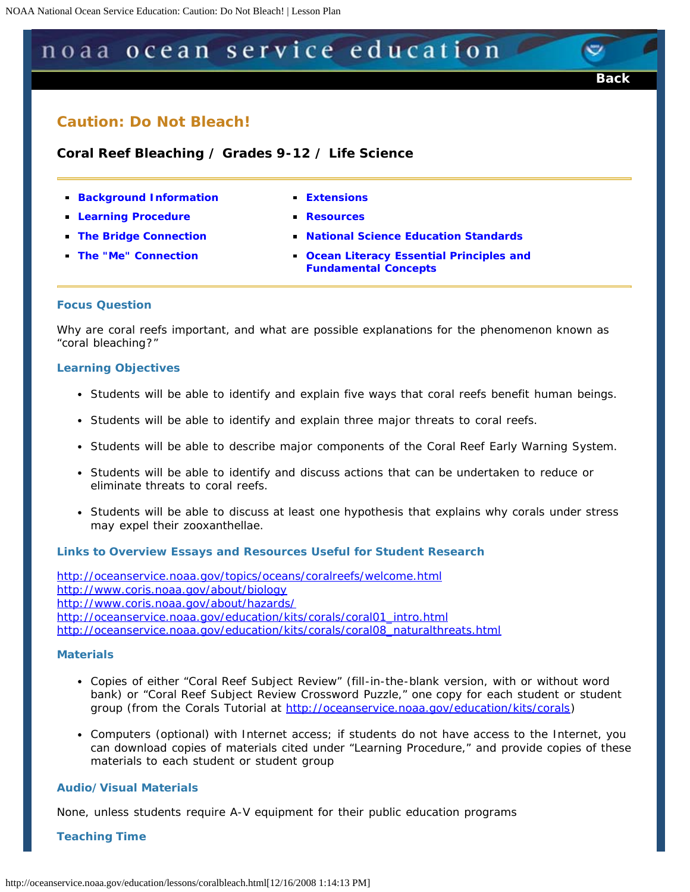# <span id="page-0-0"></span>noaa ocean service education

## **Caution: Do Not Bleach!**

 **Coral Reef Bleaching / Grades 9-12 / Life Science** 

- **[Background Information](#page-1-0) Extensions**
- **[Learning Procedure](#page-2-0) <b>Resources Resources**
- **The Bridge Connection**
- **The "Me" Connection**
- 
- 
- **[The Bridge Connection](#page-4-0) Standards**

**[Back](javascript:history.go(-1))** 

**The Ocean Literacy Essential Principles and [Fundamental Concepts](#page-6-1)** 

#### **Focus Question**

Why are coral reefs important, and what are possible explanations for the phenomenon known as "coral bleaching?"

#### **Learning Objectives**

- Students will be able to identify and explain five ways that coral reefs benefit human beings.
- Students will be able to identify and explain three major threats to coral reefs.
- Students will be able to describe major components of the Coral Reef Early Warning System.
- Students will be able to identify and discuss actions that can be undertaken to reduce or eliminate threats to coral reefs.
- Students will be able to discuss at least one hypothesis that explains why corals under stress may expel their zooxanthellae.

## **Links to Overview Essays and Resources Useful for Student Research**

*<http://oceanservice.noaa.gov/topics/oceans/coralreefs/welcome.html> <http://www.coris.noaa.gov/about/biology> <http://www.coris.noaa.gov/about/hazards/> [http://oceanservice.noaa.gov/education/kits/corals/coral01\\_intro.html](http://oceanservice.noaa.gov/education/kits/corals/coral01_intro.html)  [http://oceanservice.noaa.gov/education/kits/corals/coral08\\_naturalthreats.html](http://oceanservice.noaa.gov/education/kits/corals/coral08_naturalthreats.html)* 

#### **Materials**

- Copies of either "Coral Reef Subject Review" *(fill-in-the-blank version, with or without word bank)* or "Coral Reef Subject Review Crossword Puzzle," one copy for each student or student group (from the Corals Tutorial at *<http://oceanservice.noaa.gov/education/kits/corals>*)
- Computers (optional) with Internet access; if students do not have access to the Internet, you can download copies of materials cited under "Learning Procedure," and provide copies of these materials to each student or student group

#### **Audio/Visual Materials**

None, unless students require A-V equipment for their public education programs

**Teaching Time**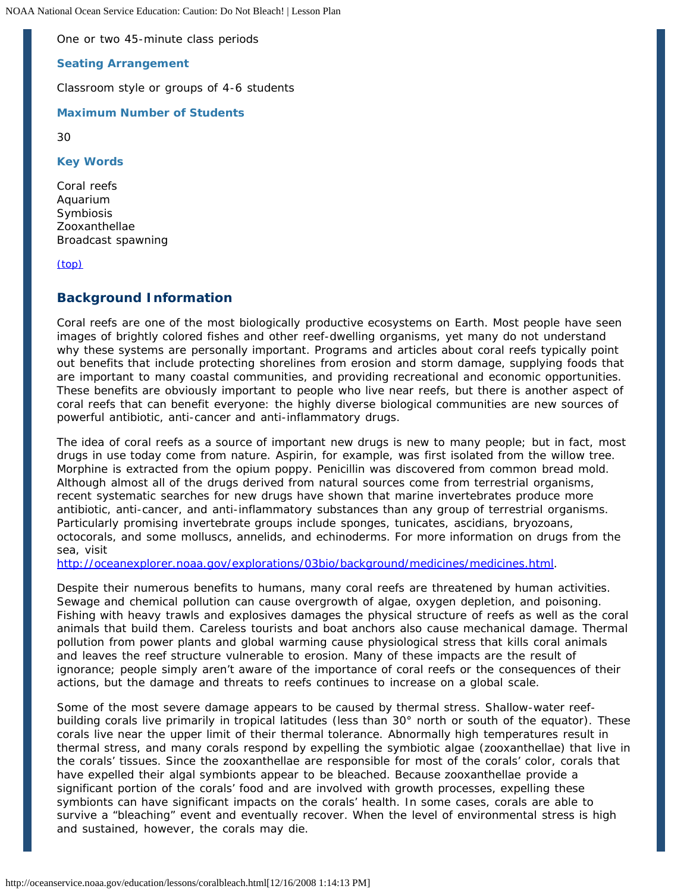One or two 45-minute class periods

**Seating Arrangement** 

Classroom style or groups of 4-6 students

**Maximum Number of Students** 

30

**Key Words** 

Coral reefs Aquarium Symbiosis Zooxanthellae Broadcast spawning

[\(top\)](#page-0-0) 

## <span id="page-1-0"></span>**Background Information**

Coral reefs are one of the most biologically productive ecosystems on Earth. Most people have seen images of brightly colored fishes and other reef-dwelling organisms, yet many do not understand why these systems are personally important. Programs and articles about coral reefs typically point out benefits that include protecting shorelines from erosion and storm damage, supplying foods that are important to many coastal communities, and providing recreational and economic opportunities. These benefits are obviously important to people who live near reefs, but there is another aspect of coral reefs that can benefit everyone: the highly diverse biological communities are new sources of powerful antibiotic, anti-cancer and anti-inflammatory drugs.

The idea of coral reefs as a source of important new drugs is new to many people; but in fact, most drugs in use today come from nature. Aspirin, for example, was first isolated from the willow tree. Morphine is extracted from the opium poppy. Penicillin was discovered from common bread mold. Although almost all of the drugs derived from natural sources come from terrestrial organisms, recent systematic searches for new drugs have shown that marine invertebrates produce more antibiotic, anti-cancer, and anti-inflammatory substances than any group of terrestrial organisms. Particularly promising invertebrate groups include sponges, tunicates, ascidians, bryozoans, octocorals, and some molluscs, annelids, and echinoderms. For more information on drugs from the sea, visit

*<http://oceanexplorer.noaa.gov/explorations/03bio/background/medicines/medicines.html>*.

Despite their numerous benefits to humans, many coral reefs are threatened by human activities. Sewage and chemical pollution can cause overgrowth of algae, oxygen depletion, and poisoning. Fishing with heavy trawls and explosives damages the physical structure of reefs as well as the coral animals that build them. Careless tourists and boat anchors also cause mechanical damage. Thermal pollution from power plants and global warming cause physiological stress that kills coral animals and leaves the reef structure vulnerable to erosion. Many of these impacts are the result of ignorance; people simply aren't aware of the importance of coral reefs or the consequences of their actions, but the damage and threats to reefs continues to increase on a global scale.

Some of the most severe damage appears to be caused by thermal stress. Shallow-water reefbuilding corals live primarily in tropical latitudes (less than 30° north or south of the equator). These corals live near the upper limit of their thermal tolerance. Abnormally high temperatures result in thermal stress, and many corals respond by expelling the symbiotic algae (zooxanthellae) that live in the corals' tissues. Since the zooxanthellae are responsible for most of the corals' color, corals that have expelled their algal symbionts appear to be bleached. Because zooxanthellae provide a significant portion of the corals' food and are involved with growth processes, expelling these symbionts can have significant impacts on the corals' health. In some cases, corals are able to survive a "bleaching" event and eventually recover. When the level of environmental stress is high and sustained, however, the corals may die.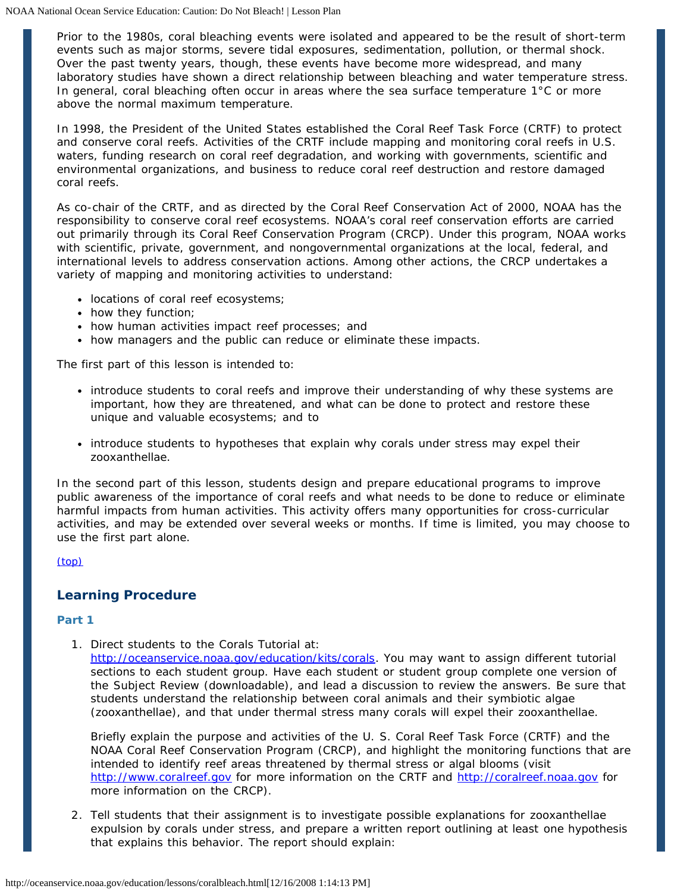Prior to the 1980s, coral bleaching events were isolated and appeared to be the result of short-term events such as major storms, severe tidal exposures, sedimentation, pollution, or thermal shock. Over the past twenty years, though, these events have become more widespread, and many laboratory studies have shown a direct relationship between bleaching and water temperature stress. In general, coral bleaching often occur in areas where the sea surface temperature 1°C or more above the normal maximum temperature.

In 1998, the President of the United States established the Coral Reef Task Force (CRTF) to protect and conserve coral reefs. Activities of the CRTF include mapping and monitoring coral reefs in U.S. waters, funding research on coral reef degradation, and working with governments, scientific and environmental organizations, and business to reduce coral reef destruction and restore damaged coral reefs.

As co-chair of the CRTF, and as directed by the Coral Reef Conservation Act of 2000, NOAA has the responsibility to conserve coral reef ecosystems. NOAA's coral reef conservation efforts are carried out primarily through its Coral Reef Conservation Program (CRCP). Under this program, NOAA works with scientific, private, government, and nongovernmental organizations at the local, federal, and international levels to address conservation actions. Among other actions, the CRCP undertakes a variety of mapping and monitoring activities to understand:

- locations of coral reef ecosystems;
- how they function;
- how human activities impact reef processes; and
- how managers and the public can reduce or eliminate these impacts.

The first part of this lesson is intended to:

- introduce students to coral reefs and improve their understanding of why these systems are important, how they are threatened, and what can be done to protect and restore these unique and valuable ecosystems; and to
- introduce students to hypotheses that explain why corals under stress may expel their zooxanthellae.

In the second part of this lesson, students design and prepare educational programs to improve public awareness of the importance of coral reefs and what needs to be done to reduce or eliminate harmful impacts from human activities. This activity offers many opportunities for cross-curricular activities, and may be extended over several weeks or months. If time is limited, you may choose to use the first part alone.

[\(top\)](#page-0-0) 

## <span id="page-2-0"></span>**Learning Procedure**

## **Part 1**

1. Direct students to the Corals Tutorial at:

[http://oceanservice.noaa.gov/education/kits/corals.](http://oceanservice.noaa.gov/education/kits/corals) You may want to assign different tutorial sections to each student group. Have each student or student group complete one version of the Subject Review (downloadable), and lead a discussion to review the answers. Be sure that students understand the relationship between coral animals and their symbiotic algae (zooxanthellae), and that under thermal stress many corals will expel their zooxanthellae.

Briefly explain the purpose and activities of the U. S. Coral Reef Task Force (CRTF) and the NOAA Coral Reef Conservation Program (CRCP), and highlight the monitoring functions that are intended to identify reef areas threatened by thermal stress or algal blooms (visit *[http://www.coralreef.gov](http://www.coralreef.gov/)* for more information on the CRTF and *[http://coralreef.noaa.gov](http://www.coralreef.noaa.gov/)* for more information on the CRCP).

2. Tell students that their assignment is to investigate possible explanations for zooxanthellae expulsion by corals under stress, and prepare a written report outlining at least one hypothesis that explains this behavior. The report should explain: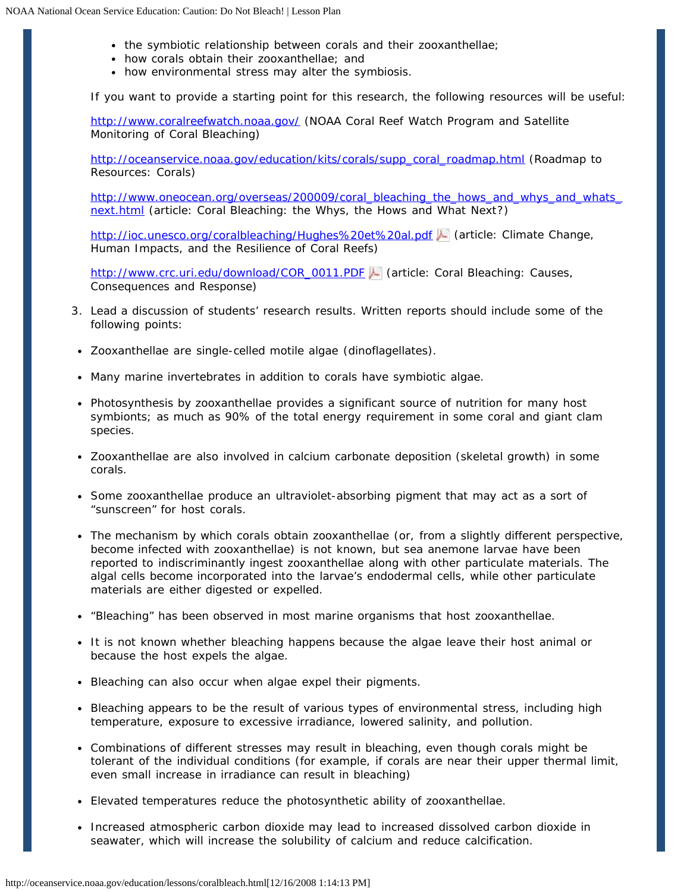- the symbiotic relationship between corals and their zooxanthellae;
- how corals obtain their zooxanthellae; and
- how environmental stress may alter the symbiosis.

If you want to provide a starting point for this research, the following resources will be useful:

*<http://www.coralreefwatch.noaa.gov/>* (NOAA Coral Reef Watch Program and Satellite Monitoring of Coral Bleaching)

*[http://oceanservice.noaa.gov/education/kits/corals/supp\\_coral\\_roadmap.html](http://oceanservice.noaa.gov/education/kits/corals/supp_coral_roadmap.html)* (Roadmap to Resources: Corals)

*[http://www.oneocean.org/overseas/200009/coral\\_bleaching\\_the\\_hows\\_and\\_whys\\_and\\_whats\\_](http://www.oneocean.org/overseas/200009/coral_bleaching_the_hows_and_whys_and_whats_next.html)  [next.html](http://www.oneocean.org/overseas/200009/coral_bleaching_the_hows_and_whys_and_whats_next.html)* (article: Coral Bleaching: the Whys, the Hows and What Next?)

*<http://ioc.unesco.org/coralbleaching/Hughes%20et%20al.pdf>*(article: Climate Change, Human Impacts, and the Resilience of Coral Reefs)

*[http://www.crc.uri.edu/download/COR\\_0011.PDF](http://oceanservice.noaa.gov/cgi-bin/redirout.cgi?url=http://www.crc.uri.edu/download/COR_0011.PDF)* (article: Coral Bleaching: Causes, Consequences and Response)

- 3. Lead a discussion of students' research results. Written reports should include some of the following points:
- Zooxanthellae are single-celled motile algae (dinoflagellates).
- Many marine invertebrates in addition to corals have symbiotic algae.
- Photosynthesis by zooxanthellae provides a significant source of nutrition for many host symbionts; as much as 90% of the total energy requirement in some coral and giant clam species.
- Zooxanthellae are also involved in calcium carbonate deposition (skeletal growth) in some corals.
- Some zooxanthellae produce an ultraviolet-absorbing pigment that may act as a sort of "sunscreen" for host corals.
- The mechanism by which corals obtain zooxanthellae (or, from a slightly different perspective, become infected with zooxanthellae) is not known, but sea anemone larvae have been reported to indiscriminantly ingest zooxanthellae along with other particulate materials. The algal cells become incorporated into the larvae's endodermal cells, while other particulate materials are either digested or expelled.
- "Bleaching" has been observed in most marine organisms that host zooxanthellae.
- It is not known whether bleaching happens because the algae leave their host animal or because the host expels the algae.
- Bleaching can also occur when algae expel their pigments.
- Bleaching appears to be the result of various types of environmental stress, including high temperature, exposure to excessive irradiance, lowered salinity, and pollution.
- Combinations of different stresses may result in bleaching, even though corals might be tolerant of the individual conditions (for example, if corals are near their upper thermal limit, even small increase in irradiance can result in bleaching)
- Elevated temperatures reduce the photosynthetic ability of zooxanthellae.
- Increased atmospheric carbon dioxide may lead to increased dissolved carbon dioxide in seawater, which will increase the solubility of calcium and reduce calcification.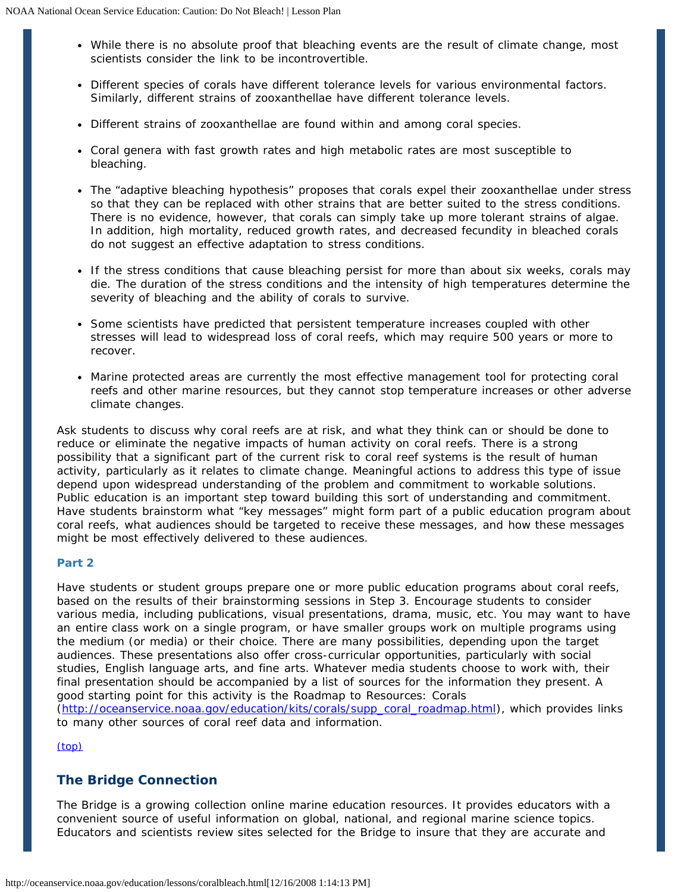- While there is no absolute proof that bleaching events are the result of climate change, most scientists consider the link to be incontrovertible.
- Different species of corals have different tolerance levels for various environmental factors. Similarly, different strains of zooxanthellae have different tolerance levels.
- Different strains of zooxanthellae are found within and among coral species.
- Coral genera with fast growth rates and high metabolic rates are most susceptible to bleaching.
- The "adaptive bleaching hypothesis" proposes that corals expel their zooxanthellae under stress so that they can be replaced with other strains that are better suited to the stress conditions. There is no evidence, however, that corals can simply take up more tolerant strains of algae. In addition, high mortality, reduced growth rates, and decreased fecundity in bleached corals do not suggest an effective adaptation to stress conditions.
- If the stress conditions that cause bleaching persist for more than about six weeks, corals may die. The duration of the stress conditions and the intensity of high temperatures determine the severity of bleaching and the ability of corals to survive.
- Some scientists have predicted that persistent temperature increases coupled with other stresses will lead to widespread loss of coral reefs, which may require 500 years or more to recover.
- Marine protected areas are currently the most effective management tool for protecting coral reefs and other marine resources, but they cannot stop temperature increases or other adverse climate changes.

Ask students to discuss why coral reefs are at risk, and what they think can or should be done to reduce or eliminate the negative impacts of human activity on coral reefs. There is a strong possibility that a significant part of the current risk to coral reef systems is the result of human activity, particularly as it relates to climate change. Meaningful actions to address this type of issue depend upon widespread understanding of the problem and commitment to workable solutions. Public education is an important step toward building this sort of understanding and commitment. Have students brainstorm what "key messages" might form part of a public education program about coral reefs, what audiences should be targeted to receive these messages, and how these messages might be most effectively delivered to these audiences.

## **Part 2**

Have students or student groups prepare one or more public education programs about coral reefs, based on the results of their brainstorming sessions in Step 3. Encourage students to consider various media, including publications, visual presentations, drama, music, etc. You may want to have an entire class work on a single program, or have smaller groups work on multiple programs using the medium (or media) or their choice. There are many possibilities, depending upon the target audiences. These presentations also offer cross-curricular opportunities, particularly with social studies, English language arts, and fine arts. Whatever media students choose to work with, their final presentation should be accompanied by a list of sources for the information they present. A good starting point for this activity is the Roadmap to Resources: Corals *([http://oceanservice.noaa.gov/education/kits/corals/supp\\_coral\\_roadmap.html\)](http://oceanservice.noaa.gov/education/kits/corals/supp_coral_roadmap.html)*, which provides links

[\(top\)](#page-0-0) 

## <span id="page-4-0"></span> **The Bridge Connection**

The Bridge is a growing collection online marine education resources. It provides educators with a convenient source of useful information on global, national, and regional marine science topics. Educators and scientists review sites selected for the Bridge to insure that they are accurate and

to many other sources of coral reef data and information.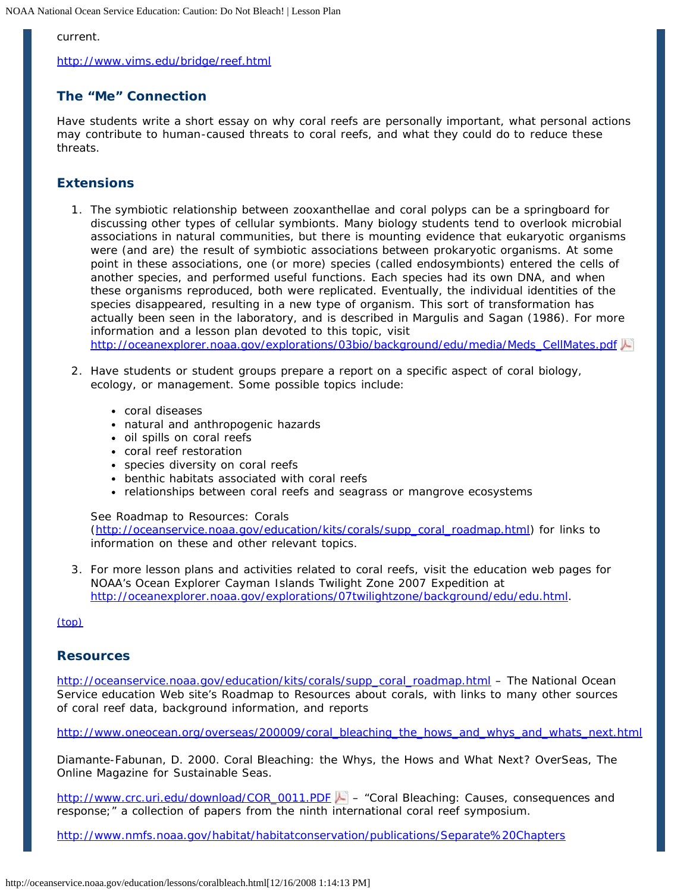## current.

*[http://www.vims.edu/bridge/reef.html](http://oceanservice.noaa.gov/cgi-bin/redirout.cgi?url=http://www.vims.edu/bridge/reef.html)* 

## <span id="page-5-2"></span> **The "Me" Connection**

Have students write a short essay on why coral reefs are personally important, what personal actions may contribute to human-caused threats to coral reefs, and what they could do to reduce these threats.

## <span id="page-5-0"></span>**Extensions**

- 1. The symbiotic relationship between zooxanthellae and coral polyps can be a springboard for discussing other types of cellular symbionts. Many biology students tend to overlook microbial associations in natural communities, but there is mounting evidence that eukaryotic organisms were (and are) the result of symbiotic associations between prokaryotic organisms. At some point in these associations, one (or more) species (called endosymbionts) entered the cells of another species, and performed useful functions. Each species had its own DNA, and when these organisms reproduced, both were replicated. Eventually, the individual identities of the species disappeared, resulting in a new type of organism. This sort of transformation has actually been seen in the laboratory, and is described in Margulis and Sagan (1986). For more information and a lesson plan devoted to this topic, visit *[http://oceanexplorer.noaa.gov/explorations/03bio/background/edu/media/Meds\\_CellMates.pdf](http://oceanexplorer.noaa.gov/explorations/03bio/background/edu/media/Meds_CellMates.pdf)*
- 2. Have students or student groups prepare a report on a specific aspect of coral biology, ecology, or management. Some possible topics include:
	- coral diseases
	- natural and anthropogenic hazards
	- oil spills on coral reefs
	- coral reef restoration
	- species diversity on coral reefs
	- benthic habitats associated with coral reefs
	- relationships between coral reefs and seagrass or mangrove ecosystems

## See Roadmap to Resources: Corals

*([http://oceanservice.noaa.gov/education/kits/corals/supp\\_coral\\_roadmap.html\)](http://oceanservice.noaa.gov/education/kits/corals/supp_coral_roadmap.html)* for links to information on these and other relevant topics.

3. For more lesson plans and activities related to coral reefs, visit the education web pages for NOAA's Ocean Explorer Cayman Islands Twilight Zone 2007 Expedition at [http://oceanexplorer.noaa.gov/explorations/07twilightzone/background/edu/edu.html.](http://oceanexplorer.noaa.gov/explorations/07twilightzone/background/edu/edu.html)

## [\(top\)](#page-0-0)

## <span id="page-5-1"></span>**Resources**

*[http://oceanservice.noaa.gov/education/kits/corals/supp\\_coral\\_roadmap.html](http://oceanservice.noaa.gov/education/kits/corals/supp_coral_roadmap.html)* – *The National Ocean Service education Web site's Roadmap to Resources about corals, with links to many other sources of coral reef data, background information, and reports* 

*[http://www.oneocean.org/overseas/200009/coral\\_bleaching\\_the\\_hows\\_and\\_whys\\_and\\_whats\\_next.html](http://oceanservice.noaa.gov/cgi-bin/redirout.cgi?url=http://www.oneocean.org/overseas/200009/coral_bleaching_the_hows_and_whys_and_whats_next.html)* 

Diamante-Fabunan, D. 2000. Coral Bleaching: the Whys, the Hows and What Next? OverSeas, The Online Magazine for Sustainable Seas.

*[http://www.crc.uri.edu/download/COR\\_0011.PDF](http://oceanservice.noaa.gov/cgi-bin/redirout.cgi?url=http://www.crc.uri.edu/download/COR_0011.PDF)* – "Coral Bleaching: Causes, consequences and response;" a collection of papers from the ninth international coral reef symposium.

*[http://www.nmfs.noaa.gov/habitat/habitatconservation/publications/Separate%20Chapters](http://www.nmfs.noaa.gov/habitat/habitatconservation/publications/Separate%20Chapters/Cover%20and%20Table%20of%20Contents.pdf)*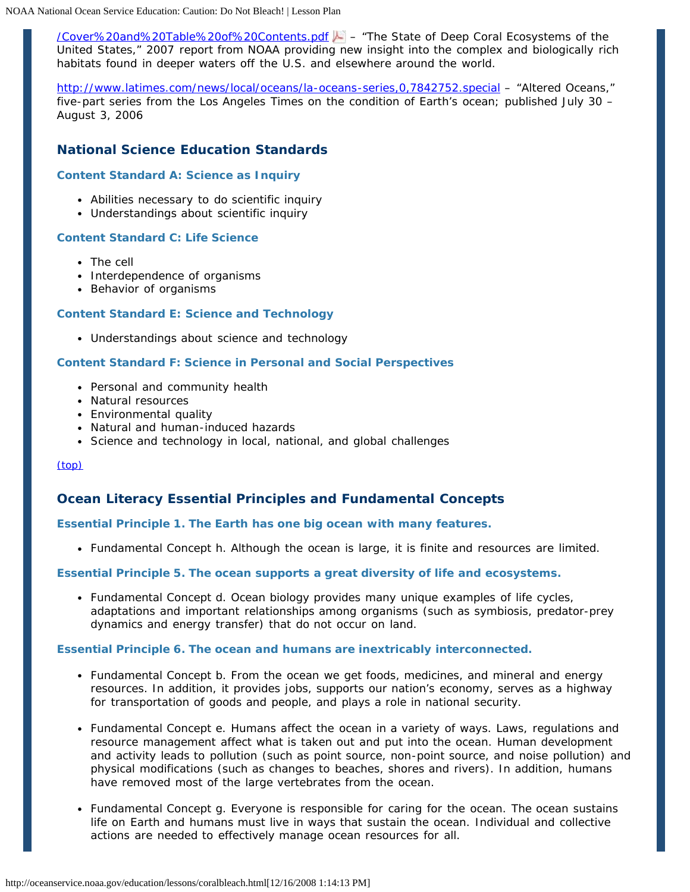*[/Cover%20and%20Table%20of%20Contents.pdf](http://www.nmfs.noaa.gov/habitat/habitatconservation/publications/Separate%20Chapters/Cover%20and%20Table%20of%20Contents.pdf) –* "The State of Deep Coral Ecosystems of the United States," 2007 report from NOAA providing new insight into the complex and biologically rich habitats found in deeper waters off the U.S. and elsewhere around the world.

*[http://www.latimes.com/news/local/oceans/la-oceans-series,0,7842752.special](http://oceanservice.noaa.gov/cgi-bin/redirout.cgi?url=http://www.latimes.com/news/local/oceans/la-oceans-series,0,7842752.special)* – "Altered Oceans," five-part series from the Los Angeles Times on the condition of Earth's ocean; published July 30 – August 3, 2006

## <span id="page-6-0"></span> **National Science Education Standards**

## **Content Standard A: Science as Inquiry**

- Abilities necessary to do scientific inquiry
- Understandings about scientific inquiry

#### **Content Standard C: Life Science**

- The cell
- Interdependence of organisms
- Behavior of organisms

## **Content Standard E: Science and Technology**

Understandings about science and technology

## **Content Standard F: Science in Personal and Social Perspectives**

- Personal and community health
- Natural resources
- Environmental quality
- Natural and human-induced hazards
- Science and technology in local, national, and global challenges

[\(top\)](#page-0-0) 

## <span id="page-6-1"></span> **Ocean Literacy Essential Principles and Fundamental Concepts**

## **Essential Principle 1. The Earth has one big ocean with many features.**

Fundamental Concept h. Although the ocean is large, it is finite and resources are limited.

## **Essential Principle 5. The ocean supports a great diversity of life and ecosystems.**

Fundamental Concept d. Ocean biology provides many unique examples of life cycles, adaptations and important relationships among organisms (such as symbiosis, predator-prey dynamics and energy transfer) that do not occur on land.

#### **Essential Principle 6. The ocean and humans are inextricably interconnected.**

- Fundamental Concept b. From the ocean we get foods, medicines, and mineral and energy resources. In addition, it provides jobs, supports our nation's economy, serves as a highway for transportation of goods and people, and plays a role in national security.
- Fundamental Concept e. Humans affect the ocean in a variety of ways. Laws, regulations and resource management affect what is taken out and put into the ocean. Human development and activity leads to pollution (such as point source, non-point source, and noise pollution) and physical modifications (such as changes to beaches, shores and rivers). In addition, humans have removed most of the large vertebrates from the ocean.
- Fundamental Concept g. Everyone is responsible for caring for the ocean. The ocean sustains life on Earth and humans must live in ways that sustain the ocean. Individual and collective actions are needed to effectively manage ocean resources for all.